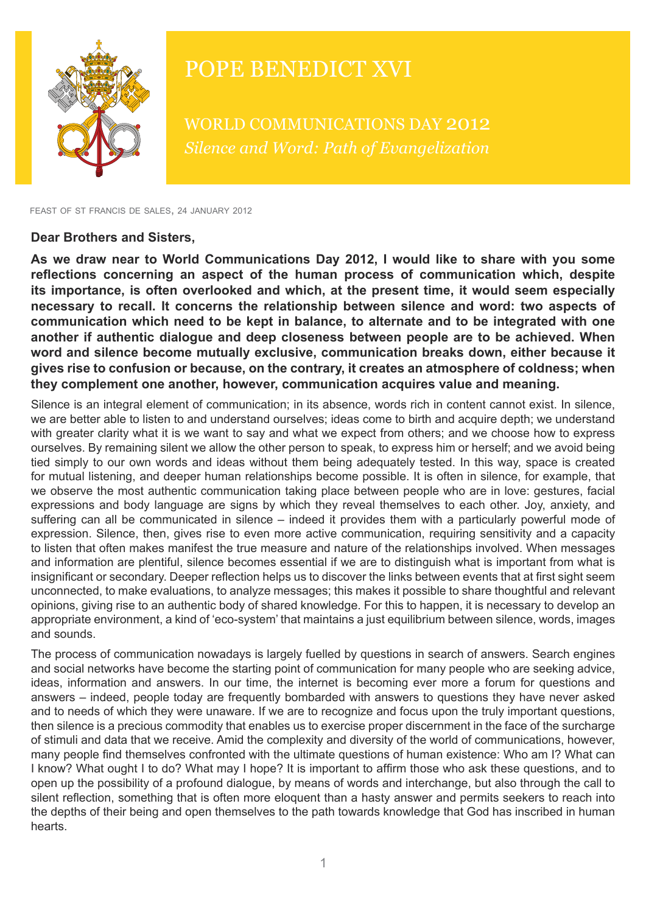

## POPE BENEDICT XVI

WORLD COMMUNICATIONS DAY 2012 *Silence and Word: Path of Evangelization*

feast of st francis de sales, 24 january 2012

## **Dear Brothers and Sisters,**

**As we draw near to World Communications Day 2012, I would like to share with you some reflections concerning an aspect of the human process of communication which, despite its importance, is often overlooked and which, at the present time, it would seem especially necessary to recall. It concerns the relationship between silence and word: two aspects of communication which need to be kept in balance, to alternate and to be integrated with one another if authentic dialogue and deep closeness between people are to be achieved. When word and silence become mutually exclusive, communication breaks down, either because it gives rise to confusion or because, on the contrary, it creates an atmosphere of coldness; when they complement one another, however, communication acquires value and meaning.**

Silence is an integral element of communication; in its absence, words rich in content cannot exist. In silence, we are better able to listen to and understand ourselves; ideas come to birth and acquire depth; we understand with greater clarity what it is we want to say and what we expect from others; and we choose how to express ourselves. By remaining silent we allow the other person to speak, to express him or herself; and we avoid being tied simply to our own words and ideas without them being adequately tested. In this way, space is created for mutual listening, and deeper human relationships become possible. It is often in silence, for example, that we observe the most authentic communication taking place between people who are in love: gestures, facial expressions and body language are signs by which they reveal themselves to each other. Joy, anxiety, and suffering can all be communicated in silence – indeed it provides them with a particularly powerful mode of expression. Silence, then, gives rise to even more active communication, requiring sensitivity and a capacity to listen that often makes manifest the true measure and nature of the relationships involved. When messages and information are plentiful, silence becomes essential if we are to distinguish what is important from what is insignificant or secondary. Deeper reflection helps us to discover the links between events that at first sight seem unconnected, to make evaluations, to analyze messages; this makes it possible to share thoughtful and relevant opinions, giving rise to an authentic body of shared knowledge. For this to happen, it is necessary to develop an appropriate environment, a kind of 'eco-system' that maintains a just equilibrium between silence, words, images and sounds.

The process of communication nowadays is largely fuelled by questions in search of answers. Search engines and social networks have become the starting point of communication for many people who are seeking advice, ideas, information and answers. In our time, the internet is becoming ever more a forum for questions and answers – indeed, people today are frequently bombarded with answers to questions they have never asked and to needs of which they were unaware. If we are to recognize and focus upon the truly important questions, then silence is a precious commodity that enables us to exercise proper discernment in the face of the surcharge of stimuli and data that we receive. Amid the complexity and diversity of the world of communications, however, many people find themselves confronted with the ultimate questions of human existence: Who am I? What can I know? What ought I to do? What may I hope? It is important to affirm those who ask these questions, and to open up the possibility of a profound dialogue, by means of words and interchange, but also through the call to silent reflection, something that is often more eloquent than a hasty answer and permits seekers to reach into the depths of their being and open themselves to the path towards knowledge that God has inscribed in human hearts.